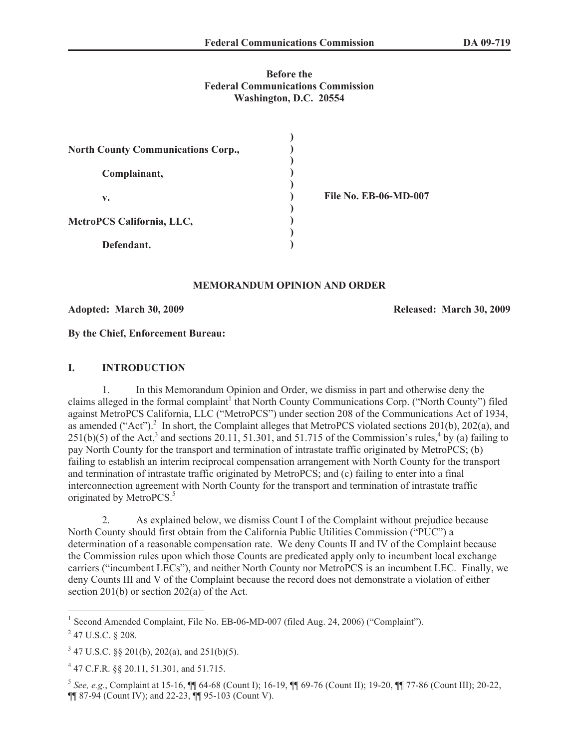### **Before the Federal Communications Commission Washington, D.C. 20554**

| <b>North County Communications Corp.,</b> |  |
|-------------------------------------------|--|
| Complainant,                              |  |
| v.                                        |  |
| MetroPCS California, LLC,                 |  |
| Defendant.                                |  |

**File No. EB-06-MD-007**

#### **MEMORANDUM OPINION AND ORDER**

**Adopted: March 30, 2009 Released: March 30, 2009**

**By the Chief, Enforcement Bureau:**

#### **I. INTRODUCTION**

1. In this Memorandum Opinion and Order, we dismiss in part and otherwise deny the claims alleged in the formal complaint<sup>1</sup> that North County Communications Corp. ("North County") filed against MetroPCS California, LLC ("MetroPCS") under section 208 of the Communications Act of 1934, as amended ("Act"). $^2$  In short, the Complaint alleges that MetroPCS violated sections 201(b), 202(a), and  $251(b)(5)$  of the Act,<sup>3</sup> and sections 20.11, 51.301, and 51.715 of the Commission's rules,<sup>4</sup> by (a) failing to pay North County for the transport and termination of intrastate traffic originated by MetroPCS; (b) failing to establish an interim reciprocal compensation arrangement with North County for the transport and termination of intrastate traffic originated by MetroPCS; and (c) failing to enter into a final interconnection agreement with North County for the transport and termination of intrastate traffic originated by MetroPCS.<sup>5</sup>

2. As explained below, we dismiss Count I of the Complaint without prejudice because North County should first obtain from the California Public Utilities Commission ("PUC") a determination of a reasonable compensation rate. We deny Counts II and IV of the Complaint because the Commission rules upon which those Counts are predicated apply only to incumbent local exchange carriers ("incumbent LECs"), and neither North County nor MetroPCS is an incumbent LEC. Finally, we deny Counts III and V of the Complaint because the record does not demonstrate a violation of either section 201(b) or section 202(a) of the Act.

<sup>&</sup>lt;sup>1</sup> Second Amended Complaint, File No. EB-06-MD-007 (filed Aug. 24, 2006) ("Complaint").

 $^{2}$  47 U.S.C. § 208.

 $3\,47$  U.S.C. §§ 201(b), 202(a), and 251(b)(5).

<sup>4</sup> 47 C.F.R. §§ 20.11, 51.301, and 51.715.

<sup>5</sup> *See, e.g.*, Complaint at 15-16, ¶¶ 64-68 (Count I); 16-19, ¶¶ 69-76 (Count II); 19-20, ¶¶ 77-86 (Count III); 20-22, ¶¶ 87-94 (Count IV); and 22-23, ¶¶ 95-103 (Count V).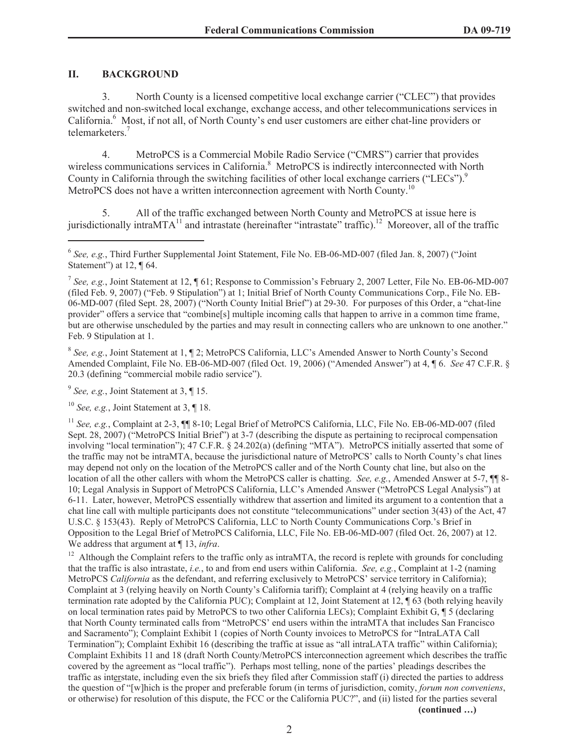### **II. BACKGROUND**

3. North County is a licensed competitive local exchange carrier ("CLEC") that provides switched and non-switched local exchange, exchange access, and other telecommunications services in California.<sup>6</sup> Most, if not all, of North County's end user customers are either chat-line providers or telemarketers.<sup>7</sup>

4. MetroPCS is a Commercial Mobile Radio Service ("CMRS") carrier that provides wireless communications services in California.<sup>8</sup> MetroPCS is indirectly interconnected with North County in California through the switching facilities of other local exchange carriers ("LECs").<sup>9</sup> MetroPCS does not have a written interconnection agreement with North County.<sup>10</sup>

5. All of the traffic exchanged between North County and MetroPCS at issue here is jurisdictionally intraMTA<sup>11</sup> and intrastate (hereinafter "intrastate" traffic).<sup>12</sup> Moreover, all of the traffic

<sup>8</sup> See, e.g., Joint Statement at 1, 1 2; MetroPCS California, LLC's Amended Answer to North County's Second Amended Complaint, File No. EB-06-MD-007 (filed Oct. 19, 2006) ("Amended Answer") at 4, ¶ 6. *See* 47 C.F.R. § 20.3 (defining "commercial mobile radio service").

 $9^9$  See, e.g., Joint Statement at 3,  $\P$  15.

<sup>10</sup> *See, e.g.*, Joint Statement at 3, ¶ 18.

<sup>11</sup> *See, e.g.*, Complaint at 2-3,  $\P$  8-10; Legal Brief of MetroPCS California, LLC, File No. EB-06-MD-007 (filed Sept. 28, 2007) ("MetroPCS Initial Brief") at 3-7 (describing the dispute as pertaining to reciprocal compensation involving "local termination"); 47 C.F.R. § 24.202(a) (defining "MTA"). MetroPCS initially asserted that some of the traffic may not be intraMTA, because the jurisdictional nature of MetroPCS' calls to North County's chat lines may depend not only on the location of the MetroPCS caller and of the North County chat line, but also on the location of all the other callers with whom the MetroPCS caller is chatting. *See, e.g.*, Amended Answer at 5-7,  $\P$  8-10; Legal Analysis in Support of MetroPCS California, LLC's Amended Answer ("MetroPCS Legal Analysis") at 6-11. Later, however, MetroPCS essentially withdrew that assertion and limited its argument to a contention that a chat line call with multiple participants does not constitute "telecommunications" under section 3(43) of the Act, 47 U.S.C. § 153(43). Reply of MetroPCS California, LLC to North County Communications Corp.'s Brief in Opposition to the Legal Brief of MetroPCS California, LLC, File No. EB-06-MD-007 (filed Oct. 26, 2007) at 12. We address that argument at ¶ 13, *infra*.

 $12$  Although the Complaint refers to the traffic only as intraMTA, the record is replete with grounds for concluding that the traffic is also intrastate, *i.e.*, to and from end users within California. *See, e.g.*, Complaint at 1-2 (naming MetroPCS *California* as the defendant, and referring exclusively to MetroPCS' service territory in California); Complaint at 3 (relying heavily on North County's California tariff); Complaint at 4 (relying heavily on a traffic termination rate adopted by the California PUC); Complaint at 12, Joint Statement at 12, ¶ 63 (both relying heavily on local termination rates paid by MetroPCS to two other California LECs); Complaint Exhibit G, ¶ 5 (declaring that North County terminated calls from "MetroPCS' end users within the intraMTA that includes San Francisco and Sacramento"); Complaint Exhibit 1 (copies of North County invoices to MetroPCS for "IntraLATA Call Termination"); Complaint Exhibit 16 (describing the traffic at issue as "all intraLATA traffic" within California); Complaint Exhibits 11 and 18 (draft North County/MetroPCS interconnection agreement which describes the traffic covered by the agreement as "local traffic"). Perhaps most telling, none of the parties' pleadings describes the traffic as interstate, including even the six briefs they filed after Commission staff (i) directed the parties to address the question of "[w]hich is the proper and preferable forum (in terms of jurisdiction, comity, *forum non conveniens*, or otherwise) for resolution of this dispute, the FCC or the California PUC?", and (ii) listed for the parties several

**(continued …)**

<sup>&</sup>lt;sup>6</sup> See, e.g., Third Further Supplemental Joint Statement, File No. EB-06-MD-007 (filed Jan. 8, 2007) ("Joint Statement") at 12, ¶ 64.

<sup>7</sup> *See, e.g.*, Joint Statement at 12, ¶ 61; Response to Commission's February 2, 2007 Letter, File No. EB-06-MD-007 (filed Feb. 9, 2007) ("Feb. 9 Stipulation") at 1; Initial Brief of North County Communications Corp., File No. EB-06-MD-007 (filed Sept. 28, 2007) ("North County Initial Brief") at 29-30. For purposes of this Order, a "chat-line provider" offers a service that "combine[s] multiple incoming calls that happen to arrive in a common time frame, but are otherwise unscheduled by the parties and may result in connecting callers who are unknown to one another." Feb. 9 Stipulation at 1.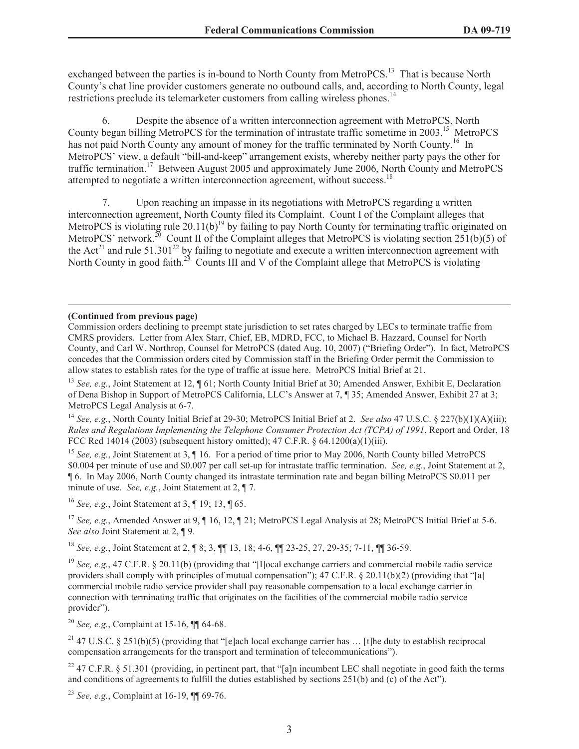exchanged between the parties is in-bound to North County from MetroPCS.<sup>13</sup> That is because North County's chat line provider customers generate no outbound calls, and, according to North County, legal restrictions preclude its telemarketer customers from calling wireless phones.<sup>14</sup>

6. Despite the absence of a written interconnection agreement with MetroPCS, North County began billing MetroPCS for the termination of intrastate traffic sometime in 2003.<sup>15</sup> MetroPCS has not paid North County any amount of money for the traffic terminated by North County.<sup>16</sup> In MetroPCS' view, a default "bill-and-keep" arrangement exists, whereby neither party pays the other for traffic termination.<sup>17</sup> Between August 2005 and approximately June 2006, North County and MetroPCS attempted to negotiate a written interconnection agreement, without success.<sup>18</sup>

7. Upon reaching an impasse in its negotiations with MetroPCS regarding a written interconnection agreement, North County filed its Complaint. Count I of the Complaint alleges that MetroPCS is violating rule  $20.11(b)^{19}$  by failing to pay North County for terminating traffic originated on MetroPCS' network.<sup>20</sup> Count II of the Complaint alleges that MetroPCS is violating section 251(b)(5) of the Act<sup>21</sup> and rule 51.301<sup>22</sup> by failing to negotiate and execute a written interconnection agreement with North County in good faith.<sup>23</sup> Counts III and V of the Complaint allege that MetroPCS is violating

### **(Continued from previous page)**

Commission orders declining to preempt state jurisdiction to set rates charged by LECs to terminate traffic from CMRS providers. Letter from Alex Starr, Chief, EB, MDRD, FCC, to Michael B. Hazzard, Counsel for North County, and Carl W. Northrop, Counsel for MetroPCS (dated Aug. 10, 2007) ("Briefing Order"). In fact, MetroPCS concedes that the Commission orders cited by Commission staff in the Briefing Order permit the Commission to allow states to establish rates for the type of traffic at issue here. MetroPCS Initial Brief at 21.

<sup>13</sup> *See, e.g.*, Joint Statement at 12, ¶ 61; North County Initial Brief at 30; Amended Answer, Exhibit E, Declaration of Dena Bishop in Support of MetroPCS California, LLC's Answer at 7, ¶ 35; Amended Answer, Exhibit 27 at 3; MetroPCS Legal Analysis at 6-7.

<sup>14</sup> *See, e.g.*, North County Initial Brief at 29-30; MetroPCS Initial Brief at 2. *See also* 47 U.S.C. § 227(b)(1)(A)(iii); *Rules and Regulations Implementing the Telephone Consumer Protection Act (TCPA) of 1991*, Report and Order, 18 FCC Rcd 14014 (2003) (subsequent history omitted); 47 C.F.R. § 64.1200(a)(1)(iii).

<sup>15</sup> *See, e.g.*, Joint Statement at 3, ¶ 16. For a period of time prior to May 2006, North County billed MetroPCS \$0.004 per minute of use and \$0.007 per call set-up for intrastate traffic termination. *See, e.g.*, Joint Statement at 2, ¶ 6. In May 2006, North County changed its intrastate termination rate and began billing MetroPCS \$0.011 per minute of use. *See, e.g.*, Joint Statement at 2, ¶ 7.

<sup>16</sup> *See, e.g.*, Joint Statement at 3, ¶ 19; 13, ¶ 65.

<sup>17</sup> *See, e.g.*, Amended Answer at 9, ¶ 16, 12, ¶ 21; MetroPCS Legal Analysis at 28; MetroPCS Initial Brief at 5-6. *See also* Joint Statement at 2, ¶ 9.

<sup>18</sup> *See, e.g.*, Joint Statement at 2, ¶ 8; 3, ¶¶ 13, 18; 4-6, ¶¶ 23-25, 27, 29-35; 7-11, ¶¶ 36-59.

<sup>19</sup> *See, e.g.*, 47 C.F.R. § 20.11(b) (providing that "[l]ocal exchange carriers and commercial mobile radio service providers shall comply with principles of mutual compensation"); 47 C.F.R. § 20.11(b)(2) (providing that "[a] commercial mobile radio service provider shall pay reasonable compensation to a local exchange carrier in connection with terminating traffic that originates on the facilities of the commercial mobile radio service provider").

<sup>20</sup> *See, e.g.*, Complaint at 15-16, ¶¶ 64-68.

<sup>21</sup> 47 U.S.C. § 251(b)(5) (providing that "[e]ach local exchange carrier has ... [t]he duty to establish reciprocal compensation arrangements for the transport and termination of telecommunications").

<sup>22</sup> 47 C.F.R. § 51.301 (providing, in pertinent part, that "[a]n incumbent LEC shall negotiate in good faith the terms and conditions of agreements to fulfill the duties established by sections 251(b) and (c) of the Act").

<sup>23</sup> *See, e.g.*, Complaint at 16-19, ¶¶ 69-76.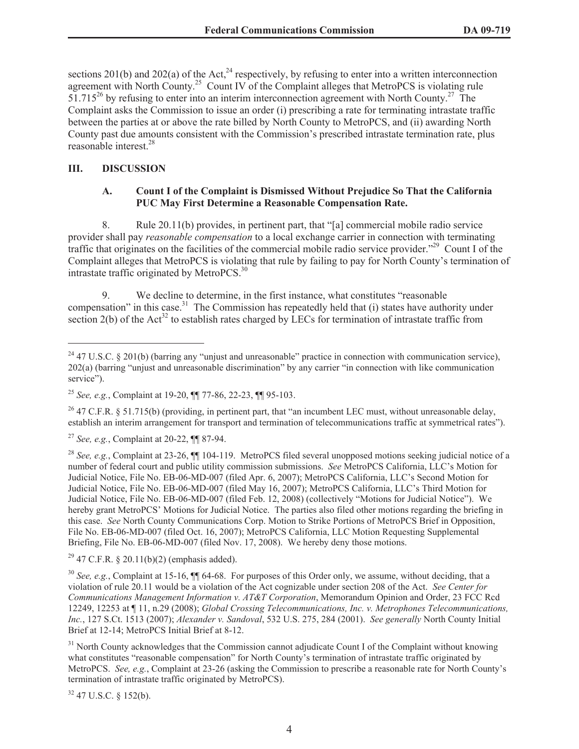sections 201(b) and 202(a) of the Act,<sup>24</sup> respectively, by refusing to enter into a written interconnection agreement with North County.<sup>25</sup> Count IV of the Complaint alleges that MetroPCS is violating rule  $51.715^{26}$  by refusing to enter into an interim interconnection agreement with North County.<sup>27</sup> The Complaint asks the Commission to issue an order (i) prescribing a rate for terminating intrastate traffic between the parties at or above the rate billed by North County to MetroPCS, and (ii) awarding North County past due amounts consistent with the Commission's prescribed intrastate termination rate, plus reasonable interest.<sup>28</sup>

# **III. DISCUSSION**

## **A. Count I of the Complaint is Dismissed Without Prejudice So That the California PUC May First Determine a Reasonable Compensation Rate.**

8. Rule 20.11(b) provides, in pertinent part, that "[a] commercial mobile radio service provider shall pay *reasonable compensation* to a local exchange carrier in connection with terminating traffic that originates on the facilities of the commercial mobile radio service provider."<sup>29</sup> Count I of the Complaint alleges that MetroPCS is violating that rule by failing to pay for North County's termination of intrastate traffic originated by MetroPCS.<sup>30</sup>

9. We decline to determine, in the first instance, what constitutes "reasonable compensation" in this case.<sup>31</sup> The Commission has repeatedly held that (i) states have authority under section 2(b) of the Act<sup>32</sup> to establish rates charged by LECs for termination of intrastate traffic from

<sup>26</sup> 47 C.F.R. § 51.715(b) (providing, in pertinent part, that "an incumbent LEC must, without unreasonable delay, establish an interim arrangement for transport and termination of telecommunications traffic at symmetrical rates").

<sup>27</sup> *See, e.g.*, Complaint at 20-22, ¶¶ 87-94.

<sup>28</sup> *See, e.g.*, Complaint at 23-26,  $\P$  104-119. MetroPCS filed several unopposed motions seeking judicial notice of a number of federal court and public utility commission submissions. *See* MetroPCS California, LLC's Motion for Judicial Notice, File No. EB-06-MD-007 (filed Apr. 6, 2007); MetroPCS California, LLC's Second Motion for Judicial Notice, File No. EB-06-MD-007 (filed May 16, 2007); MetroPCS California, LLC's Third Motion for Judicial Notice, File No. EB-06-MD-007 (filed Feb. 12, 2008) (collectively "Motions for Judicial Notice"). We hereby grant MetroPCS' Motions for Judicial Notice. The parties also filed other motions regarding the briefing in this case. *See* North County Communications Corp. Motion to Strike Portions of MetroPCS Brief in Opposition, File No. EB-06-MD-007 (filed Oct. 16, 2007); MetroPCS California, LLC Motion Requesting Supplemental Briefing, File No. EB-06-MD-007 (filed Nov. 17, 2008). We hereby deny those motions.

 $^{29}$  47 C.F.R. § 20.11(b)(2) (emphasis added).

<sup>30</sup> *See, e.g.*, Complaint at 15-16,  $\P$  64-68. For purposes of this Order only, we assume, without deciding, that a violation of rule 20.11 would be a violation of the Act cognizable under section 208 of the Act. *See Center for Communications Management Information v. AT&T Corporation*, Memorandum Opinion and Order, 23 FCC Rcd 12249, 12253 at ¶ 11, n.29 (2008); *Global Crossing Telecommunications, Inc. v. Metrophones Telecommunications, Inc.*, 127 S.Ct. 1513 (2007); *Alexander v. Sandoval*, 532 U.S. 275, 284 (2001). *See generally* North County Initial Brief at 12-14; MetroPCS Initial Brief at 8-12.

<sup>31</sup> North County acknowledges that the Commission cannot adjudicate Count I of the Complaint without knowing what constitutes "reasonable compensation" for North County's termination of intrastate traffic originated by MetroPCS. *See, e.g.*, Complaint at 23-26 (asking the Commission to prescribe a reasonable rate for North County's termination of intrastate traffic originated by MetroPCS).

<sup>32</sup> 47 U.S.C. § 152(b).

 $24$  47 U.S.C. § 201(b) (barring any "unjust and unreasonable" practice in connection with communication service), 202(a) (barring "unjust and unreasonable discrimination" by any carrier "in connection with like communication service").

<sup>25</sup> *See, e.g.*, Complaint at 19-20, ¶¶ 77-86, 22-23, ¶¶ 95-103.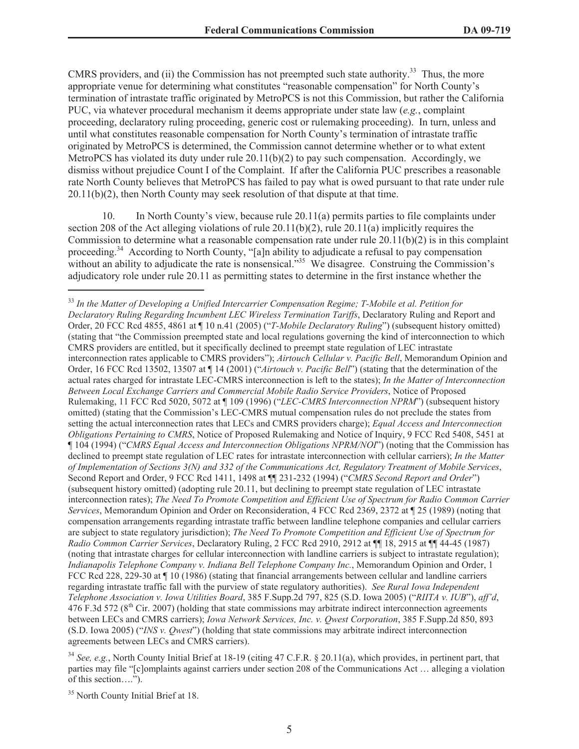CMRS providers, and (ii) the Commission has not preempted such state authority.<sup>33</sup> Thus, the more appropriate venue for determining what constitutes "reasonable compensation" for North County's termination of intrastate traffic originated by MetroPCS is not this Commission, but rather the California PUC, via whatever procedural mechanism it deems appropriate under state law (*e.g.*, complaint proceeding, declaratory ruling proceeding, generic cost or rulemaking proceeding). In turn, unless and until what constitutes reasonable compensation for North County's termination of intrastate traffic originated by MetroPCS is determined, the Commission cannot determine whether or to what extent MetroPCS has violated its duty under rule  $20.11(b)(2)$  to pay such compensation. Accordingly, we dismiss without prejudice Count I of the Complaint. If after the California PUC prescribes a reasonable rate North County believes that MetroPCS has failed to pay what is owed pursuant to that rate under rule 20.11(b)(2), then North County may seek resolution of that dispute at that time.

10. In North County's view, because rule 20.11(a) permits parties to file complaints under section 208 of the Act alleging violations of rule 20.11(b)(2), rule 20.11(a) implicitly requires the Commission to determine what a reasonable compensation rate under rule  $20.11(b)(2)$  is in this complaint proceeding.<sup>34</sup> According to North County, "[a]n ability to adjudicate a refusal to pay compensation without an ability to adjudicate the rate is nonsensical."<sup>35</sup> We disagree. Construing the Commission's adjudicatory role under rule 20.11 as permitting states to determine in the first instance whether the

<sup>33</sup> *In the Matter of Developing a Unified Intercarrier Compensation Regime; T-Mobile et al. Petition for Declaratory Ruling Regarding Incumbent LEC Wireless Termination Tariffs*, Declaratory Ruling and Report and Order, 20 FCC Rcd 4855, 4861 at ¶ 10 n.41 (2005) ("*T-Mobile Declaratory Ruling*") (subsequent history omitted) (stating that "the Commission preempted state and local regulations governing the kind of interconnection to which CMRS providers are entitled, but it specifically declined to preempt state regulation of LEC intrastate interconnection rates applicable to CMRS providers"); *Airtouch Cellular v. Pacific Bell*, Memorandum Opinion and Order, 16 FCC Rcd 13502, 13507 at ¶ 14 (2001) ("*Airtouch v. Pacific Bell*") (stating that the determination of the actual rates charged for intrastate LEC-CMRS interconnection is left to the states); *In the Matter of Interconnection Between Local Exchange Carriers and Commercial Mobile Radio Service Providers*, Notice of Proposed Rulemaking, 11 FCC Rcd 5020, 5072 at ¶ 109 (1996) ("*LEC-CMRS Interconnection NPRM*") (subsequent history omitted) (stating that the Commission's LEC-CMRS mutual compensation rules do not preclude the states from setting the actual interconnection rates that LECs and CMRS providers charge); *Equal Access and Interconnection Obligations Pertaining to CMRS*, Notice of Proposed Rulemaking and Notice of Inquiry, 9 FCC Rcd 5408, 5451 at ¶ 104 (1994) ("*CMRS Equal Access and Interconnection Obligations NPRM/NOI*") (noting that the Commission has declined to preempt state regulation of LEC rates for intrastate interconnection with cellular carriers); *In the Matter of Implementation of Sections 3(N) and 332 of the Communications Act, Regulatory Treatment of Mobile Services*, Second Report and Order, 9 FCC Rcd 1411, 1498 at ¶¶ 231-232 (1994) ("*CMRS Second Report and Order*") (subsequent history omitted) (adopting rule 20.11, but declining to preempt state regulation of LEC intrastate interconnection rates); *The Need To Promote Competition and Efficient Use of Spectrum for Radio Common Carrier Services*, Memorandum Opinion and Order on Reconsideration, 4 FCC Rcd 2369, 2372 at ¶ 25 (1989) (noting that compensation arrangements regarding intrastate traffic between landline telephone companies and cellular carriers are subject to state regulatory jurisdiction); *The Need To Promote Competition and Efficient Use of Spectrum for Radio Common Carrier Services*, Declaratory Ruling, 2 FCC Rcd 2910, 2912 at ¶¶ 18, 2915 at ¶¶ 44-45 (1987) (noting that intrastate charges for cellular interconnection with landline carriers is subject to intrastate regulation); *Indianapolis Telephone Company v. Indiana Bell Telephone Company Inc.*, Memorandum Opinion and Order, 1 FCC Rcd 228, 229-30 at  $\P$  10 (1986) (stating that financial arrangements between cellular and landline carriers regarding intrastate traffic fall with the purview of state regulatory authorities). *See Rural Iowa Independent Telephone Association v. Iowa Utilities Board*, 385 F.Supp.2d 797, 825 (S.D. Iowa 2005) ("*RIITA v. IUB*"), *aff'd*,  $476$  F.3d 572 ( $8<sup>th</sup>$  Cir. 2007) (holding that state commissions may arbitrate indirect interconnection agreements between LECs and CMRS carriers); *Iowa Network Services, Inc. v. Qwest Corporation*, 385 F.Supp.2d 850, 893 (S.D. Iowa 2005) ("*INS v. Qwest*") (holding that state commissions may arbitrate indirect interconnection agreements between LECs and CMRS carriers).

<sup>34</sup> *See, e.g.*, North County Initial Brief at 18-19 (citing 47 C.F.R. § 20.11(a), which provides, in pertinent part, that parties may file "[c]omplaints against carriers under section 208 of the Communications Act … alleging a violation of this section….").

<sup>&</sup>lt;sup>35</sup> North County Initial Brief at 18.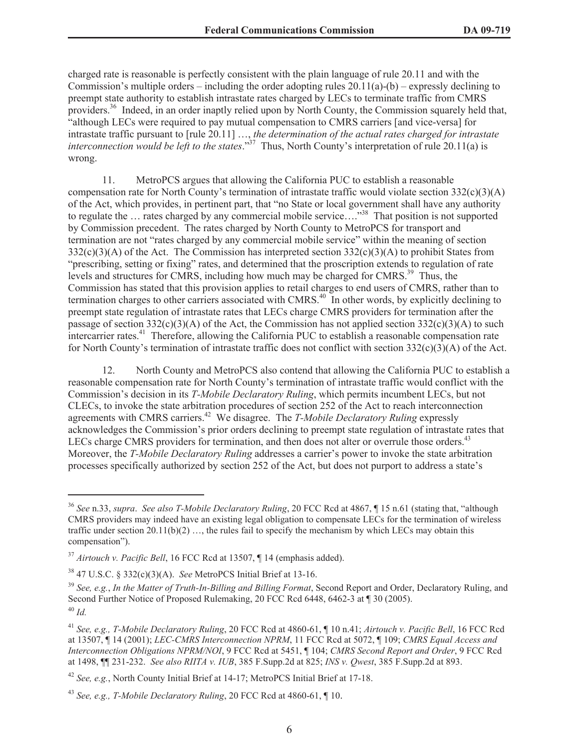charged rate is reasonable is perfectly consistent with the plain language of rule 20.11 and with the Commission's multiple orders – including the order adopting rules  $20.11(a)$ -(b) – expressly declining to preempt state authority to establish intrastate rates charged by LECs to terminate traffic from CMRS providers.<sup>36</sup> Indeed, in an order inaptly relied upon by North County, the Commission squarely held that, "although LECs were required to pay mutual compensation to CMRS carriers [and vice-versa] for intrastate traffic pursuant to [rule 20.11] …, *the determination of the actual rates charged for intrastate interconnection would be left to the states*."<sup>37</sup> Thus, North County's interpretation of rule 20.11(a) is wrong.

11. MetroPCS argues that allowing the California PUC to establish a reasonable compensation rate for North County's termination of intrastate traffic would violate section  $332(c)(3)(A)$ of the Act, which provides, in pertinent part, that "no State or local government shall have any authority to regulate the … rates charged by any commercial mobile service…."<sup>38</sup> That position is not supported by Commission precedent. The rates charged by North County to MetroPCS for transport and termination are not "rates charged by any commercial mobile service" within the meaning of section  $332(c)(3)(A)$  of the Act. The Commission has interpreted section  $332(c)(3)(A)$  to prohibit States from "prescribing, setting or fixing" rates, and determined that the proscription extends to regulation of rate levels and structures for CMRS, including how much may be charged for CMRS.<sup>39</sup> Thus, the Commission has stated that this provision applies to retail charges to end users of CMRS, rather than to termination charges to other carriers associated with CMRS.<sup>40</sup> In other words, by explicitly declining to preempt state regulation of intrastate rates that LECs charge CMRS providers for termination after the passage of section 332(c)(3)(A) of the Act, the Commission has not applied section 332(c)(3)(A) to such intercarrier rates.<sup>41</sup> Therefore, allowing the California PUC to establish a reasonable compensation rate for North County's termination of intrastate traffic does not conflict with section  $332(c)(3)(A)$  of the Act.

12. North County and MetroPCS also contend that allowing the California PUC to establish a reasonable compensation rate for North County's termination of intrastate traffic would conflict with the Commission's decision in its *T-Mobile Declaratory Ruling*, which permits incumbent LECs, but not CLECs, to invoke the state arbitration procedures of section 252 of the Act to reach interconnection agreements with CMRS carriers.<sup>42</sup> We disagree. The *T-Mobile Declaratory Ruling* expressly acknowledges the Commission's prior orders declining to preempt state regulation of intrastate rates that LECs charge CMRS providers for termination, and then does not alter or overrule those orders.<sup>43</sup> Moreover, the *T-Mobile Declaratory Ruling* addresses a carrier's power to invoke the state arbitration processes specifically authorized by section 252 of the Act, but does not purport to address a state's

<sup>36</sup> *See* n.33, *supra*. *See also T-Mobile Declaratory Ruling*, 20 FCC Rcd at 4867, ¶ 15 n.61 (stating that, "although CMRS providers may indeed have an existing legal obligation to compensate LECs for the termination of wireless traffic under section 20.11(b)(2) …, the rules fail to specify the mechanism by which LECs may obtain this compensation").

<sup>37</sup> *Airtouch v. Pacific Bell*, 16 FCC Rcd at 13507, ¶ 14 (emphasis added).

<sup>38</sup> 47 U.S.C. § 332(c)(3)(A). *See* MetroPCS Initial Brief at 13-16.

<sup>39</sup> *See, e.g.*, *In the Matter of Truth-In-Billing and Billing Format*, Second Report and Order, Declaratory Ruling, and Second Further Notice of Proposed Rulemaking, 20 FCC Rcd 6448, 6462-3 at ¶ 30 (2005). <sup>40</sup> *Id.*

<sup>41</sup> *See, e.g., T-Mobile Declaratory Ruling*, 20 FCC Rcd at 4860-61, ¶ 10 n.41; *Airtouch v. Pacific Bell*, 16 FCC Rcd at 13507, ¶ 14 (2001); *LEC-CMRS Interconnection NPRM*, 11 FCC Rcd at 5072, ¶ 109; *CMRS Equal Access and Interconnection Obligations NPRM/NOI*, 9 FCC Rcd at 5451, ¶ 104; *CMRS Second Report and Order*, 9 FCC Rcd at 1498, ¶¶ 231-232. *See also RIITA v. IUB*, 385 F.Supp.2d at 825; *INS v. Qwest*, 385 F.Supp.2d at 893.

<sup>42</sup> *See, e.g.*, North County Initial Brief at 14-17; MetroPCS Initial Brief at 17-18.

<sup>43</sup> *See, e.g., T-Mobile Declaratory Ruling*, 20 FCC Rcd at 4860-61, ¶ 10.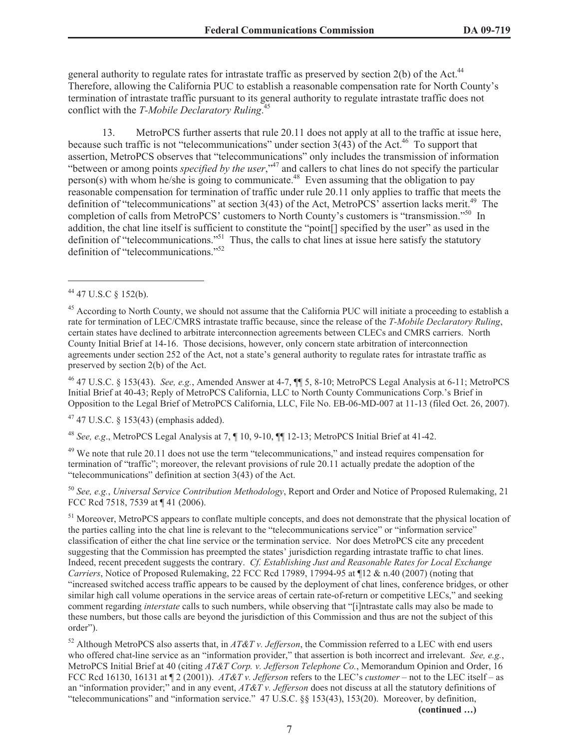general authority to regulate rates for intrastate traffic as preserved by section 2(b) of the Act.<sup>44</sup> Therefore, allowing the California PUC to establish a reasonable compensation rate for North County's termination of intrastate traffic pursuant to its general authority to regulate intrastate traffic does not conflict with the *T-Mobile Declaratory Ruling*. 45

13. MetroPCS further asserts that rule 20.11 does not apply at all to the traffic at issue here, because such traffic is not "telecommunications" under section  $3(43)$  of the Act.<sup>46</sup> To support that assertion, MetroPCS observes that "telecommunications" only includes the transmission of information "between or among points *specified by the user*,"<sup>47</sup> and callers to chat lines do not specify the particular person(s) with whom he/she is going to communicate.<sup>48</sup> Even assuming that the obligation to pay reasonable compensation for termination of traffic under rule 20.11 only applies to traffic that meets the definition of "telecommunications" at section 3(43) of the Act, MetroPCS' assertion lacks merit.<sup>49</sup> The completion of calls from MetroPCS' customers to North County's customers is "transmission."<sup>50</sup> In addition, the chat line itself is sufficient to constitute the "point[] specified by the user" as used in the definition of "telecommunications."<sup>51</sup> Thus, the calls to chat lines at issue here satisfy the statutory definition of "telecommunications."<sup>52</sup>

<sup>46</sup> 47 U.S.C. § 153(43). *See, e.g.*, Amended Answer at 4-7, ¶¶ 5, 8-10; MetroPCS Legal Analysis at 6-11; MetroPCS Initial Brief at 40-43; Reply of MetroPCS California, LLC to North County Communications Corp.'s Brief in Opposition to the Legal Brief of MetroPCS California, LLC, File No. EB-06-MD-007 at 11-13 (filed Oct. 26, 2007).

 $47$  47 U.S.C. § 153(43) (emphasis added).

<sup>48</sup> *See, e.g*., MetroPCS Legal Analysis at 7, ¶ 10, 9-10, ¶¶ 12-13; MetroPCS Initial Brief at 41-42.

<sup>49</sup> We note that rule 20.11 does not use the term "telecommunications," and instead requires compensation for termination of "traffic"; moreover, the relevant provisions of rule 20.11 actually predate the adoption of the "telecommunications" definition at section 3(43) of the Act.

<sup>50</sup> *See, e.g.*, *Universal Service Contribution Methodology*, Report and Order and Notice of Proposed Rulemaking, 21 FCC Rcd 7518, 7539 at ¶ 41 (2006).

<sup>51</sup> Moreover, MetroPCS appears to conflate multiple concepts, and does not demonstrate that the physical location of the parties calling into the chat line is relevant to the "telecommunications service" or "information service" classification of either the chat line service or the termination service. Nor does MetroPCS cite any precedent suggesting that the Commission has preempted the states' jurisdiction regarding intrastate traffic to chat lines. Indeed, recent precedent suggests the contrary. *Cf. Establishing Just and Reasonable Rates for Local Exchange Carriers*, Notice of Proposed Rulemaking, 22 FCC Rcd 17989, 17994-95 at ¶12 & n.40 (2007) (noting that "increased switched access traffic appears to be caused by the deployment of chat lines, conference bridges, or other similar high call volume operations in the service areas of certain rate-of-return or competitive LECs," and seeking comment regarding *interstate* calls to such numbers, while observing that "[i]ntrastate calls may also be made to these numbers, but those calls are beyond the jurisdiction of this Commission and thus are not the subject of this order").

<sup>52</sup> Although MetroPCS also asserts that, in *AT&T v. Jefferson*, the Commission referred to a LEC with end users who offered chat-line service as an "information provider," that assertion is both incorrect and irrelevant. *See, e.g.*, MetroPCS Initial Brief at 40 (citing *AT&T Corp. v. Jefferson Telephone Co.*, Memorandum Opinion and Order, 16 FCC Rcd 16130, 16131 at ¶ 2 (2001)). *AT&T v. Jefferson* refers to the LEC's *customer* – not to the LEC itself – as an "information provider;" and in any event, *AT&T v. Jefferson* does not discuss at all the statutory definitions of "telecommunications" and "information service." 47 U.S.C. §§ 153(43), 153(20). Moreover, by definition,

**(continued …)**

<sup>44</sup> 47 U.S.C § 152(b).

 $45$  According to North County, we should not assume that the California PUC will initiate a proceeding to establish a rate for termination of LEC/CMRS intrastate traffic because, since the release of the *T-Mobile Declaratory Ruling*, certain states have declined to arbitrate interconnection agreements between CLECs and CMRS carriers. North County Initial Brief at 14-16. Those decisions, however, only concern state arbitration of interconnection agreements under section 252 of the Act, not a state's general authority to regulate rates for intrastate traffic as preserved by section 2(b) of the Act.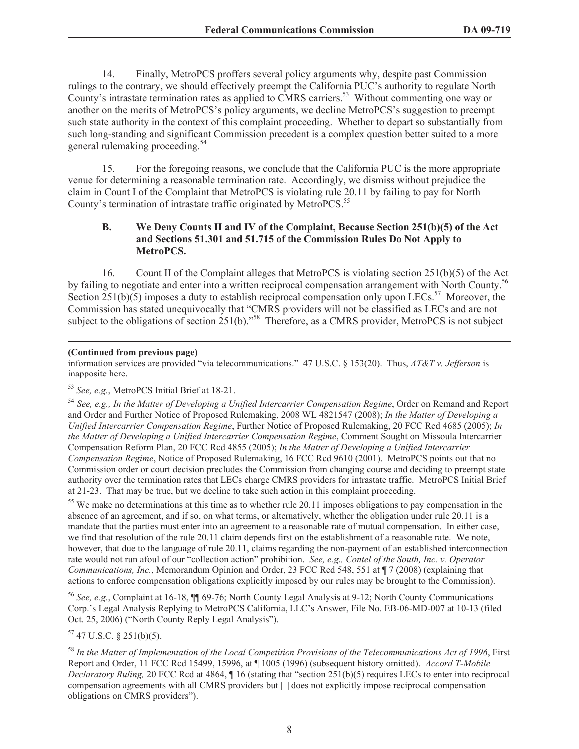14. Finally, MetroPCS proffers several policy arguments why, despite past Commission rulings to the contrary, we should effectively preempt the California PUC's authority to regulate North County's intrastate termination rates as applied to CMRS carriers.<sup>53</sup> Without commenting one way or another on the merits of MetroPCS's policy arguments, we decline MetroPCS's suggestion to preempt such state authority in the context of this complaint proceeding. Whether to depart so substantially from such long-standing and significant Commission precedent is a complex question better suited to a more general rulemaking proceeding.<sup>54</sup>

15. For the foregoing reasons, we conclude that the California PUC is the more appropriate venue for determining a reasonable termination rate. Accordingly, we dismiss without prejudice the claim in Count I of the Complaint that MetroPCS is violating rule 20.11 by failing to pay for North County's termination of intrastate traffic originated by MetroPCS.<sup>55</sup>

### **B. We Deny Counts II and IV of the Complaint, Because Section 251(b)(5) of the Act and Sections 51.301 and 51.715 of the Commission Rules Do Not Apply to MetroPCS.**

16. Count II of the Complaint alleges that MetroPCS is violating section 251(b)(5) of the Act by failing to negotiate and enter into a written reciprocal compensation arrangement with North County.<sup>56</sup> Section 251(b)(5) imposes a duty to establish reciprocal compensation only upon LECs.<sup>57</sup> Moreover, the Commission has stated unequivocally that "CMRS providers will not be classified as LECs and are not subject to the obligations of section 251(b)."<sup>58</sup> Therefore, as a CMRS provider, MetroPCS is not subject

### **(Continued from previous page)**

information services are provided "via telecommunications." 47 U.S.C. § 153(20). Thus, *AT&T v. Jefferson* is inapposite here.

# <sup>53</sup> *See, e.g.*, MetroPCS Initial Brief at 18-21.

<sup>54</sup> *See, e.g., In the Matter of Developing a Unified Intercarrier Compensation Regime*, Order on Remand and Report and Order and Further Notice of Proposed Rulemaking, 2008 WL 4821547 (2008); *In the Matter of Developing a Unified Intercarrier Compensation Regime*, Further Notice of Proposed Rulemaking, 20 FCC Rcd 4685 (2005); *In the Matter of Developing a Unified Intercarrier Compensation Regime*, Comment Sought on Missoula Intercarrier Compensation Reform Plan, 20 FCC Rcd 4855 (2005); *In the Matter of Developing a Unified Intercarrier Compensation Regime*, Notice of Proposed Rulemaking, 16 FCC Rcd 9610 (2001). MetroPCS points out that no Commission order or court decision precludes the Commission from changing course and deciding to preempt state authority over the termination rates that LECs charge CMRS providers for intrastate traffic. MetroPCS Initial Brief at 21-23. That may be true, but we decline to take such action in this complaint proceeding.

<sup>55</sup> We make no determinations at this time as to whether rule 20.11 imposes obligations to pay compensation in the absence of an agreement, and if so, on what terms, or alternatively, whether the obligation under rule 20.11 is a mandate that the parties must enter into an agreement to a reasonable rate of mutual compensation. In either case, we find that resolution of the rule 20.11 claim depends first on the establishment of a reasonable rate. We note, however, that due to the language of rule 20.11, claims regarding the non-payment of an established interconnection rate would not run afoul of our "collection action" prohibition. *See, e.g., Contel of the South, Inc. v. Operator Communications, Inc.*, Memorandum Opinion and Order, 23 FCC Rcd 548, 551 at  $\P$  7 (2008) (explaining that actions to enforce compensation obligations explicitly imposed by our rules may be brought to the Commission).

<sup>56</sup> *See, e.g.*, Complaint at 16-18, ¶¶ 69-76; North County Legal Analysis at 9-12; North County Communications Corp.'s Legal Analysis Replying to MetroPCS California, LLC's Answer, File No. EB-06-MD-007 at 10-13 (filed Oct. 25, 2006) ("North County Reply Legal Analysis").

 $57$  47 U.S.C. § 251(b)(5).

<sup>58</sup> *In the Matter of Implementation of the Local Competition Provisions of the Telecommunications Act of 1996*, First Report and Order, 11 FCC Rcd 15499, 15996, at ¶ 1005 (1996) (subsequent history omitted). *Accord T-Mobile Declaratory Ruling,* 20 FCC Rcd at 4864, ¶ 16 (stating that "section 251(b)(5) requires LECs to enter into reciprocal compensation agreements with all CMRS providers but [ ] does not explicitly impose reciprocal compensation obligations on CMRS providers").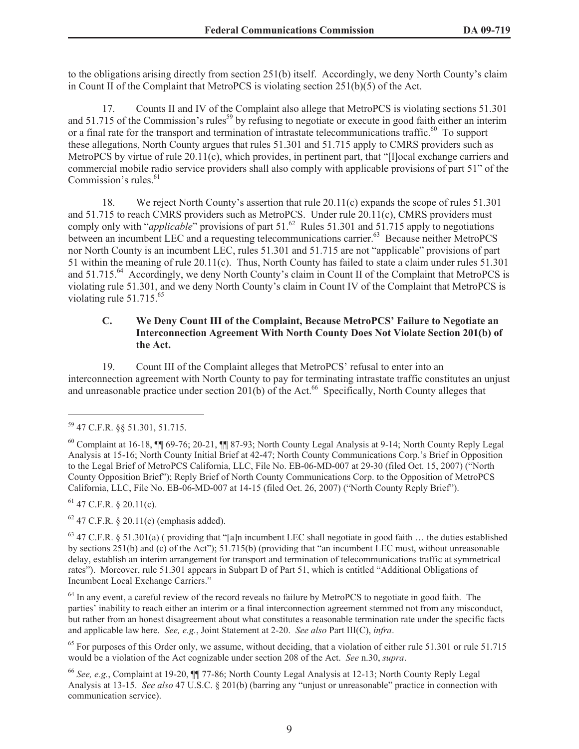to the obligations arising directly from section 251(b) itself. Accordingly, we deny North County's claim in Count II of the Complaint that MetroPCS is violating section  $251(b)(5)$  of the Act.

17. Counts II and IV of the Complaint also allege that MetroPCS is violating sections 51.301 and 51.715 of the Commission's rules<sup>59</sup> by refusing to negotiate or execute in good faith either an interim or a final rate for the transport and termination of intrastate telecommunications traffic.<sup>60</sup> To support these allegations, North County argues that rules 51.301 and 51.715 apply to CMRS providers such as MetroPCS by virtue of rule 20.11(c), which provides, in pertinent part, that "[l]ocal exchange carriers and commercial mobile radio service providers shall also comply with applicable provisions of part 51" of the Commission's rules.<sup>61</sup>

18. We reject North County's assertion that rule 20.11(c) expands the scope of rules 51.301 and 51.715 to reach CMRS providers such as MetroPCS. Under rule 20.11(c), CMRS providers must comply only with "*applicable*" provisions of part  $51.62$ <sup>62</sup> Rules  $51.301$  and  $51.715$  apply to negotiations between an incumbent LEC and a requesting telecommunications carrier.<sup>63</sup> Because neither MetroPCS nor North County is an incumbent LEC, rules 51.301 and 51.715 are not "applicable" provisions of part 51 within the meaning of rule 20.11(c). Thus, North County has failed to state a claim under rules 51.301 and 51.715.<sup>64</sup> Accordingly, we deny North County's claim in Count II of the Complaint that MetroPCS is violating rule 51.301, and we deny North County's claim in Count IV of the Complaint that MetroPCS is violating rule  $51.715.^{65}$ 

# **C. We Deny Count III of the Complaint, Because MetroPCS' Failure to Negotiate an Interconnection Agreement With North County Does Not Violate Section 201(b) of the Act.**

19. Count III of the Complaint alleges that MetroPCS' refusal to enter into an interconnection agreement with North County to pay for terminating intrastate traffic constitutes an unjust and unreasonable practice under section 201(b) of the Act.<sup>66</sup> Specifically, North County alleges that

 $61$  47 C.F.R. § 20.11(c).

 $62$  47 C.F.R. § 20.11(c) (emphasis added).

 $63$  47 C.F.R. § 51.301(a) (providing that "[a]n incumbent LEC shall negotiate in good faith ... the duties established by sections 251(b) and (c) of the Act"); 51.715(b) (providing that "an incumbent LEC must, without unreasonable delay, establish an interim arrangement for transport and termination of telecommunications traffic at symmetrical rates"). Moreover, rule 51.301 appears in Subpart D of Part 51, which is entitled "Additional Obligations of Incumbent Local Exchange Carriers."

<sup>64</sup> In any event, a careful review of the record reveals no failure by MetroPCS to negotiate in good faith. The parties' inability to reach either an interim or a final interconnection agreement stemmed not from any misconduct, but rather from an honest disagreement about what constitutes a reasonable termination rate under the specific facts and applicable law here. *See, e.g.*, Joint Statement at 2-20. *See also* Part III(C), *infra*.

<sup>65</sup> For purposes of this Order only, we assume, without deciding, that a violation of either rule 51.301 or rule 51.715 would be a violation of the Act cognizable under section 208 of the Act. *See* n.30, *supra*.

<sup>59</sup> 47 C.F.R. §§ 51.301, 51.715.

 $^{60}$  Complaint at 16-18,  $\overline{10}$  69-76; 20-21,  $\overline{11}$  87-93; North County Legal Analysis at 9-14; North County Reply Legal Analysis at 15-16; North County Initial Brief at 42-47; North County Communications Corp.'s Brief in Opposition to the Legal Brief of MetroPCS California, LLC, File No. EB-06-MD-007 at 29-30 (filed Oct. 15, 2007) ("North County Opposition Brief"); Reply Brief of North County Communications Corp. to the Opposition of MetroPCS California, LLC, File No. EB-06-MD-007 at 14-15 (filed Oct. 26, 2007) ("North County Reply Brief").

<sup>66</sup> *See, e.g.*, Complaint at 19-20, ¶¶ 77-86; North County Legal Analysis at 12-13; North County Reply Legal Analysis at 13-15. *See also* 47 U.S.C. § 201(b) (barring any "unjust or unreasonable" practice in connection with communication service).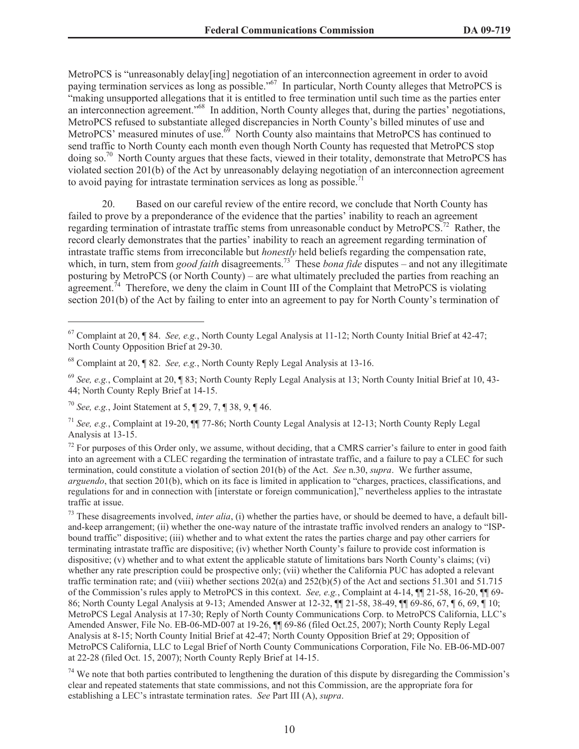MetroPCS is "unreasonably delay[ing] negotiation of an interconnection agreement in order to avoid paying termination services as long as possible."<sup>67</sup> In particular, North County alleges that MetroPCS is "making unsupported allegations that it is entitled to free termination until such time as the parties enter an interconnection agreement."<sup>68</sup> In addition, North County alleges that, during the parties' negotiations, MetroPCS refused to substantiate alleged discrepancies in North County's billed minutes of use and MetroPCS' measured minutes of use. $\frac{69}{9}$  North County also maintains that MetroPCS has continued to send traffic to North County each month even though North County has requested that MetroPCS stop doing so.<sup>70</sup> North County argues that these facts, viewed in their totality, demonstrate that MetroPCS has violated section 201(b) of the Act by unreasonably delaying negotiation of an interconnection agreement to avoid paying for intrastate termination services as long as possible.<sup>71</sup>

20. Based on our careful review of the entire record, we conclude that North County has failed to prove by a preponderance of the evidence that the parties' inability to reach an agreement regarding termination of intrastate traffic stems from unreasonable conduct by MetroPCS.<sup>72</sup> Rather, the record clearly demonstrates that the parties' inability to reach an agreement regarding termination of intrastate traffic stems from irreconcilable but *honestly* held beliefs regarding the compensation rate, which, in turn, stem from *good faith* disagreements.<sup>73</sup> These *bona fide* disputes – and not any illegitimate posturing by MetroPCS (or North County) – are what ultimately precluded the parties from reaching an agreement.<sup> $74$ </sup> Therefore, we deny the claim in Count III of the Complaint that MetroPCS is violating section 201(b) of the Act by failing to enter into an agreement to pay for North County's termination of

<sup>67</sup> Complaint at 20, ¶ 84. *See, e.g.*, North County Legal Analysis at 11-12; North County Initial Brief at 42-47; North County Opposition Brief at 29-30.

<sup>68</sup> Complaint at 20, ¶ 82. *See, e.g.*, North County Reply Legal Analysis at 13-16.

<sup>69</sup> *See, e.g.*, Complaint at 20, ¶ 83; North County Reply Legal Analysis at 13; North County Initial Brief at 10, 43- 44; North County Reply Brief at 14-15.

<sup>70</sup> *See, e.g.*, Joint Statement at 5, ¶ 29, 7, ¶ 38, 9, ¶ 46.

<sup>71</sup> *See, e.g.*, Complaint at 19-20, ¶¶ 77-86; North County Legal Analysis at 12-13; North County Reply Legal Analysis at 13-15.

 $72$  For purposes of this Order only, we assume, without deciding, that a CMRS carrier's failure to enter in good faith into an agreement with a CLEC regarding the termination of intrastate traffic, and a failure to pay a CLEC for such termination, could constitute a violation of section 201(b) of the Act. *See* n.30, *supra*. We further assume, *arguendo*, that section 201(b), which on its face is limited in application to "charges, practices, classifications, and regulations for and in connection with [interstate or foreign communication]," nevertheless applies to the intrastate traffic at issue.

<sup>&</sup>lt;sup>73</sup> These disagreements involved, *inter alia*, (i) whether the parties have, or should be deemed to have, a default billand-keep arrangement; (ii) whether the one-way nature of the intrastate traffic involved renders an analogy to "ISPbound traffic" dispositive; (iii) whether and to what extent the rates the parties charge and pay other carriers for terminating intrastate traffic are dispositive; (iv) whether North County's failure to provide cost information is dispositive; (v) whether and to what extent the applicable statute of limitations bars North County's claims; (vi) whether any rate prescription could be prospective only; (vii) whether the California PUC has adopted a relevant traffic termination rate; and (viii) whether sections  $202(a)$  and  $252(b)(5)$  of the Act and sections  $51.301$  and  $51.715$ of the Commission's rules apply to MetroPCS in this context. *See, e.g.*, Complaint at 4-14, ¶¶ 21-58, 16-20, ¶¶ 69- 86; North County Legal Analysis at 9-13; Amended Answer at 12-32, ¶¶ 21-58, 38-49, ¶¶ 69-86, 67, ¶ 6, 69, ¶ 10; MetroPCS Legal Analysis at 17-30; Reply of North County Communications Corp. to MetroPCS California, LLC's Amended Answer, File No. EB-06-MD-007 at 19-26, ¶¶ 69-86 (filed Oct.25, 2007); North County Reply Legal Analysis at 8-15; North County Initial Brief at 42-47; North County Opposition Brief at 29; Opposition of MetroPCS California, LLC to Legal Brief of North County Communications Corporation, File No. EB-06-MD-007 at 22-28 (filed Oct. 15, 2007); North County Reply Brief at 14-15.

 $74$  We note that both parties contributed to lengthening the duration of this dispute by disregarding the Commission's clear and repeated statements that state commissions, and not this Commission, are the appropriate fora for establishing a LEC's intrastate termination rates. *See* Part III (A), *supra*.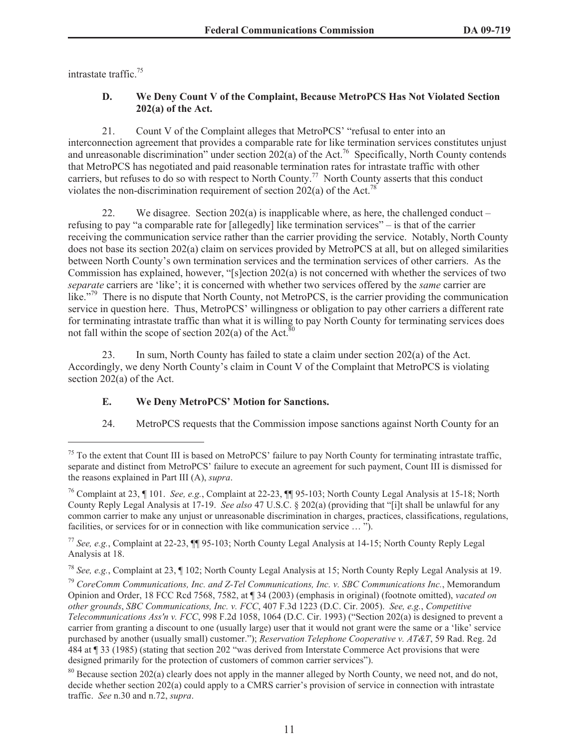intrastate traffic.<sup>75</sup>

# **D. We Deny Count V of the Complaint, Because MetroPCS Has Not Violated Section 202(a) of the Act.**

21. Count V of the Complaint alleges that MetroPCS' "refusal to enter into an interconnection agreement that provides a comparable rate for like termination services constitutes unjust and unreasonable discrimination" under section 202(a) of the Act.<sup>76</sup> Specifically, North County contends that MetroPCS has negotiated and paid reasonable termination rates for intrastate traffic with other carriers, but refuses to do so with respect to North County.<sup>77</sup> North County asserts that this conduct violates the non-discrimination requirement of section  $202(a)$  of the Act.<sup>78</sup>

22. We disagree. Section  $202(a)$  is inapplicable where, as here, the challenged conduct – refusing to pay "a comparable rate for [allegedly] like termination services" – is that of the carrier receiving the communication service rather than the carrier providing the service. Notably, North County does not base its section 202(a) claim on services provided by MetroPCS at all, but on alleged similarities between North County's own termination services and the termination services of other carriers. As the Commission has explained, however, "[s]ection 202(a) is not concerned with whether the services of two *separate* carriers are 'like'; it is concerned with whether two services offered by the *same* carrier are like."<sup>79</sup> There is no dispute that North County, not MetroPCS, is the carrier providing the communication service in question here. Thus, MetroPCS' willingness or obligation to pay other carriers a different rate for terminating intrastate traffic than what it is willing to pay North County for terminating services does not fall within the scope of section  $202(a)$  of the Act.<sup>80</sup>

23. In sum, North County has failed to state a claim under section 202(a) of the Act. Accordingly, we deny North County's claim in Count V of the Complaint that MetroPCS is violating section 202(a) of the Act.

# **E. We Deny MetroPCS' Motion for Sanctions.**

24. MetroPCS requests that the Commission impose sanctions against North County for an

<sup>&</sup>lt;sup>75</sup> To the extent that Count III is based on MetroPCS' failure to pay North County for terminating intrastate traffic, separate and distinct from MetroPCS' failure to execute an agreement for such payment, Count III is dismissed for the reasons explained in Part III (A), *supra*.

<sup>76</sup> Complaint at 23, ¶ 101. *See, e.g.*, Complaint at 22-23, ¶¶ 95-103; North County Legal Analysis at 15-18; North County Reply Legal Analysis at 17-19. *See also* 47 U.S.C. § 202(a) (providing that "[i]t shall be unlawful for any common carrier to make any unjust or unreasonable discrimination in charges, practices, classifications, regulations, facilities, or services for or in connection with like communication service … ").

<sup>77</sup> *See, e.g.*, Complaint at 22-23, ¶¶ 95-103; North County Legal Analysis at 14-15; North County Reply Legal Analysis at 18.

<sup>78</sup> *See, e.g.*, Complaint at 23, ¶ 102; North County Legal Analysis at 15; North County Reply Legal Analysis at 19.

<sup>79</sup> *CoreComm Communications, Inc. and Z-Tel Communications, Inc. v. SBC Communications Inc.*, Memorandum Opinion and Order, 18 FCC Rcd 7568, 7582, at ¶ 34 (2003) (emphasis in original) (footnote omitted), *vacated on other grounds*, *SBC Communications, Inc. v. FCC*, 407 F.3d 1223 (D.C. Cir. 2005). *See, e.g.*, *Competitive Telecommunications Ass'n v. FCC*, 998 F.2d 1058, 1064 (D.C. Cir. 1993) ("Section 202(a) is designed to prevent a carrier from granting a discount to one (usually large) user that it would not grant were the same or a 'like' service purchased by another (usually small) customer."); *Reservation Telephone Cooperative v. AT&T*, 59 Rad. Reg. 2d 484 at ¶ 33 (1985) (stating that section 202 "was derived from Interstate Commerce Act provisions that were designed primarily for the protection of customers of common carrier services").

 $80$  Because section 202(a) clearly does not apply in the manner alleged by North County, we need not, and do not, decide whether section 202(a) could apply to a CMRS carrier's provision of service in connection with intrastate traffic. *See* n.30 and n.72, *supra*.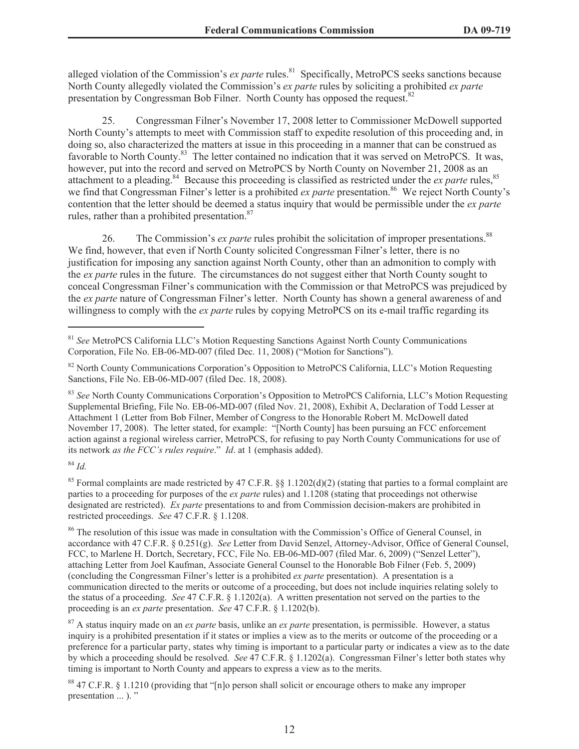alleged violation of the Commission's *ex parte* rules.<sup>81</sup> Specifically, MetroPCS seeks sanctions because North County allegedly violated the Commission's *ex parte* rules by soliciting a prohibited *ex parte* presentation by Congressman Bob Filner. North County has opposed the request.<sup>82</sup>

25. Congressman Filner's November 17, 2008 letter to Commissioner McDowell supported North County's attempts to meet with Commission staff to expedite resolution of this proceeding and, in doing so, also characterized the matters at issue in this proceeding in a manner that can be construed as favorable to North County.<sup>83</sup> The letter contained no indication that it was served on MetroPCS. It was, however, put into the record and served on MetroPCS by North County on November 21, 2008 as an attachment to a pleading.<sup>84</sup> Because this proceeding is classified as restricted under the *ex parte* rules, <sup>85</sup> we find that Congressman Filner's letter is a prohibited *ex parte* presentation.<sup>86</sup> We reject North County's contention that the letter should be deemed a status inquiry that would be permissible under the *ex parte* rules, rather than a prohibited presentation.<sup>87</sup>

26. The Commission's *ex parte* rules prohibit the solicitation of improper presentations.<sup>88</sup> We find, however, that even if North County solicited Congressman Filner's letter, there is no justification for imposing any sanction against North County, other than an admonition to comply with the *ex parte* rules in the future. The circumstances do not suggest either that North County sought to conceal Congressman Filner's communication with the Commission or that MetroPCS was prejudiced by the *ex parte* nature of Congressman Filner's letter. North County has shown a general awareness of and willingness to comply with the *ex parte* rules by copying MetroPCS on its e-mail traffic regarding its

<sup>83</sup> See North County Communications Corporation's Opposition to MetroPCS California, LLC's Motion Requesting Supplemental Briefing, File No. EB-06-MD-007 (filed Nov. 21, 2008), Exhibit A, Declaration of Todd Lesser at Attachment 1 (Letter from Bob Filner, Member of Congress to the Honorable Robert M. McDowell dated November 17, 2008). The letter stated, for example: "[North County] has been pursuing an FCC enforcement action against a regional wireless carrier, MetroPCS, for refusing to pay North County Communications for use of its network *as the FCC's rules require*." *Id*. at 1 (emphasis added).

<sup>84</sup> *Id.*

<sup>85</sup> Formal complaints are made restricted by 47 C.F.R. §§ 1.1202(d)(2) (stating that parties to a formal complaint are parties to a proceeding for purposes of the *ex parte* rules) and 1.1208 (stating that proceedings not otherwise designated are restricted). *Ex parte* presentations to and from Commission decision-makers are prohibited in restricted proceedings. *See* 47 C.F.R. § 1.1208.

<sup>87</sup> A status inquiry made on an *ex parte* basis, unlike an *ex parte* presentation, is permissible. However, a status inquiry is a prohibited presentation if it states or implies a view as to the merits or outcome of the proceeding or a preference for a particular party, states why timing is important to a particular party or indicates a view as to the date by which a proceeding should be resolved. *See* 47 C.F.R. § 1.1202(a). Congressman Filner's letter both states why timing is important to North County and appears to express a view as to the merits.

<sup>88</sup> 47 C.F.R. § 1.1210 (providing that "[n]o person shall solicit or encourage others to make any improper presentation ... ). "

<sup>81</sup> *See* MetroPCS California LLC's Motion Requesting Sanctions Against North County Communications Corporation, File No. EB-06-MD-007 (filed Dec. 11, 2008) ("Motion for Sanctions").

<sup>&</sup>lt;sup>82</sup> North County Communications Corporation's Opposition to MetroPCS California, LLC's Motion Requesting Sanctions, File No. EB-06-MD-007 (filed Dec. 18, 2008).

<sup>86</sup> The resolution of this issue was made in consultation with the Commission's Office of General Counsel, in accordance with 47 C.F.R. § 0.251(g). *See* Letter from David Senzel, Attorney-Advisor, Office of General Counsel, FCC, to Marlene H. Dortch, Secretary, FCC, File No. EB-06-MD-007 (filed Mar. 6, 2009) ("Senzel Letter"), attaching Letter from Joel Kaufman, Associate General Counsel to the Honorable Bob Filner (Feb. 5, 2009) (concluding the Congressman Filner's letter is a prohibited *ex parte* presentation). A presentation is a communication directed to the merits or outcome of a proceeding, but does not include inquiries relating solely to the status of a proceeding. *See* 47 C.F.R. § 1.1202(a). A written presentation not served on the parties to the proceeding is an *ex parte* presentation. *See* 47 C.F.R. § 1.1202(b).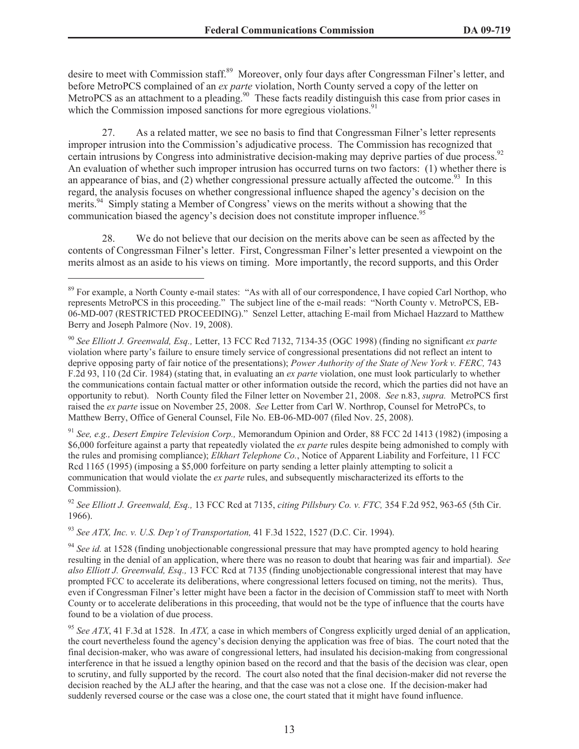desire to meet with Commission staff.<sup>89</sup> Moreover, only four days after Congressman Filner's letter, and before MetroPCS complained of an *ex parte* violation, North County served a copy of the letter on MetroPCS as an attachment to a pleading.<sup>90</sup> These facts readily distinguish this case from prior cases in which the Commission imposed sanctions for more egregious violations.<sup>91</sup>

27. As a related matter, we see no basis to find that Congressman Filner's letter represents improper intrusion into the Commission's adjudicative process. The Commission has recognized that certain intrusions by Congress into administrative decision-making may deprive parties of due process.<sup>92</sup> An evaluation of whether such improper intrusion has occurred turns on two factors: (1) whether there is an appearance of bias, and (2) whether congressional pressure actually affected the outcome.<sup>93</sup> In this regard, the analysis focuses on whether congressional influence shaped the agency's decision on the merits.<sup>94</sup> Simply stating a Member of Congress' views on the merits without a showing that the communication biased the agency's decision does not constitute improper influence.<sup>95</sup>

28. We do not believe that our decision on the merits above can be seen as affected by the contents of Congressman Filner's letter. First, Congressman Filner's letter presented a viewpoint on the merits almost as an aside to his views on timing. More importantly, the record supports, and this Order

<sup>91</sup> *See, e.g., Desert Empire Television Corp.,* Memorandum Opinion and Order, 88 FCC 2d 1413 (1982) (imposing a \$6,000 forfeiture against a party that repeatedly violated the *ex parte* rules despite being admonished to comply with the rules and promising compliance); *Elkhart Telephone Co.*, Notice of Apparent Liability and Forfeiture, 11 FCC Rcd 1165 (1995) (imposing a \$5,000 forfeiture on party sending a letter plainly attempting to solicit a communication that would violate the *ex parte* rules, and subsequently mischaracterized its efforts to the Commission).

<sup>92</sup> *See Elliott J. Greenwald, Esq.,* 13 FCC Rcd at 7135, *citing Pillsbury Co. v. FTC,* 354 F.2d 952, 963-65 (5th Cir. 1966).

<sup>93</sup> *See ATX, Inc. v. U.S. Dep't of Transportation,* 41 F.3d 1522, 1527 (D.C. Cir. 1994).

<sup>94</sup> *See id.* at 1528 (finding unobjectionable congressional pressure that may have prompted agency to hold hearing resulting in the denial of an application, where there was no reason to doubt that hearing was fair and impartial). *See also Elliott J. Greenwald, Esq.,* 13 FCC Rcd at 7135 (finding unobjectionable congressional interest that may have prompted FCC to accelerate its deliberations, where congressional letters focused on timing, not the merits). Thus, even if Congressman Filner's letter might have been a factor in the decision of Commission staff to meet with North County or to accelerate deliberations in this proceeding, that would not be the type of influence that the courts have found to be a violation of due process.

<sup>95</sup> *See ATX*, 41 F.3d at 1528. In *ATX,* a case in which members of Congress explicitly urged denial of an application, the court nevertheless found the agency's decision denying the application was free of bias. The court noted that the final decision-maker, who was aware of congressional letters, had insulated his decision-making from congressional interference in that he issued a lengthy opinion based on the record and that the basis of the decision was clear, open to scrutiny, and fully supported by the record. The court also noted that the final decision-maker did not reverse the decision reached by the ALJ after the hearing, and that the case was not a close one. If the decision-maker had suddenly reversed course or the case was a close one, the court stated that it might have found influence.

<sup>&</sup>lt;sup>89</sup> For example, a North County e-mail states: "As with all of our correspondence, I have copied Carl Northop, who represents MetroPCS in this proceeding." The subject line of the e-mail reads: "North County v. MetroPCS, EB-06-MD-007 (RESTRICTED PROCEEDING)." Senzel Letter, attaching E-mail from Michael Hazzard to Matthew Berry and Joseph Palmore (Nov. 19, 2008).

<sup>90</sup> *See Elliott J. Greenwald, Esq.,* Letter, 13 FCC Rcd 7132, 7134-35 (OGC 1998) (finding no significant *ex parte*  violation where party's failure to ensure timely service of congressional presentations did not reflect an intent to deprive opposing party of fair notice of the presentations); *Power Authority of the State of New York v. FERC,* 743 F.2d 93, 110 (2d Cir. 1984) (stating that, in evaluating an *ex parte* violation, one must look particularly to whether the communications contain factual matter or other information outside the record, which the parties did not have an opportunity to rebut). North County filed the Filner letter on November 21, 2008. *See* n.83, *supra.* MetroPCS first raised the *ex parte* issue on November 25, 2008. *See* Letter from Carl W. Northrop, Counsel for MetroPCs, to Matthew Berry, Office of General Counsel, File No. EB-06-MD-007 (filed Nov. 25, 2008).